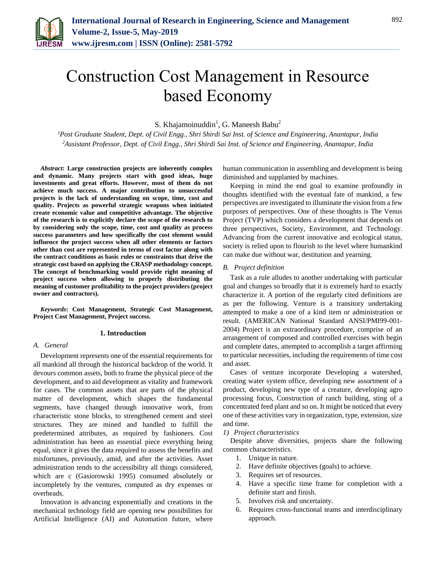

# Construction Cost Management in Resource based Economy

S. Khajamoinuddin<sup>1</sup>, G. Maneesh Babu<sup>2</sup>

*<sup>1</sup>Post Graduate Student, Dept. of Civil Engg., Shri Shirdi Sai Inst. of Science and Engineering, Anantapur, India 2Assistant Professor, Dept. of Civil Engg., Shri Shirdi Sai Inst. of Science and Engineering, Anantapur, India*

*Abstract***: Large construction projects are inherently complex and dynamic. Many projects start with good ideas, huge investments and great efforts. However, most of them do not achieve much success. A major contribution to unsuccessful projects is the lack of understanding on scope, time, cost and quality. Projects as powerful strategic weapons when initiated create economic value and competitive advantage. The objective of the research is to explicitly declare the scope of the research to by considering only the scope, time, cost and quality as process success parameters and how specifically the cost element would influence the project success when all other elements or factors other than cost are represented in terms of cost factor along with the contract conditions as basic rules or constraints that drive the strategic cost based on applying the CRASP methodology concept. The concept of benchmarking would provide right meaning of project success when allowing to properly distributing the meaning of customer profitability to the project providers (project owner and contractors).** 

*Keywords***: Cost Management, Strategic Cost Management, Project Cost Management, Project success.**

#### **1. Introduction**

#### *A. General*

Development represents one of the essential requirements for all mankind all through the historical backdrop of the world. It devours common assets, both to frame the physical piece of the development, and to aid development as vitality and framework for cases. The common assets that are parts of the physical matter of development, which shapes the fundamental segments, have changed through innovative work, from characteristic stone blocks, to strengthened cement and steel structures. They are mined and handled to fulfill the predetermined attributes, as required by fashioners. Cost administration has been an essential piece everything being equal, since it gives the data required to assess the benefits and misfortunes, previously, amid, and after the activities. Asset administration tends to the accessibility all things considered, which are c (Gasiorowski 1995) consumed absolutely or incompletely by the ventures, computed as dry expenses or overheads.

Innovation is advancing exponentially and creations in the mechanical technology field are opening new possibilities for Artificial Intelligence (AI) and Automation future, where human communication in assembling and development is being diminished and supplanted by machines.

Keeping in mind the end goal to examine profoundly in thoughts identified with the eventual fate of mankind, a few perspectives are investigated to illuminate the vision from a few purposes of perspectives. One of these thoughts is The Venus Project (TVP) which considers a development that depends on three perspectives, Society, Environment, and Technology. Advancing from the current innovative and ecological status, society is relied upon to flourish to the level where humankind can make due without war, destitution and yearning.

#### *B. Project definition*

Task as a rule alludes to another undertaking with particular goal and changes so broadly that it is extremely hard to exactly characterize it. A portion of the regularly cited definitions are as per the following. Venture is a transitory undertaking attempted to make a one of a kind item or administration or result. (AMERICAN National Standard ANSI/PMI99-001- 2004) Project is an extraordinary procedure, comprise of an arrangement of composed and controlled exercises with begin and complete dates, attempted to accomplish a target affirming to particular necessities, including the requirements of time cost and asset.

Cases of venture incorporate Developing a watershed, creating water system office, developing new assortment of a product, developing new type of a creature, developing agro processing focus, Construction of ranch building, sting of a concentrated feed plant and so on. It might be noticed that every one of these activities vary in organization, type, extension, size and time.

#### *1) Project characteristics*

Despite above diversities, projects share the following common characteristics.

- 1. Unique in nature.
- 2. Have definite objectives (goals) to achieve.
- 3. Requires set of resources.
- 4. Have a specific time frame for completion with a definite start and finish.
- 5. Involves risk and uncertainty.
- 6. Requires cross-functional teams and interdisciplinary approach.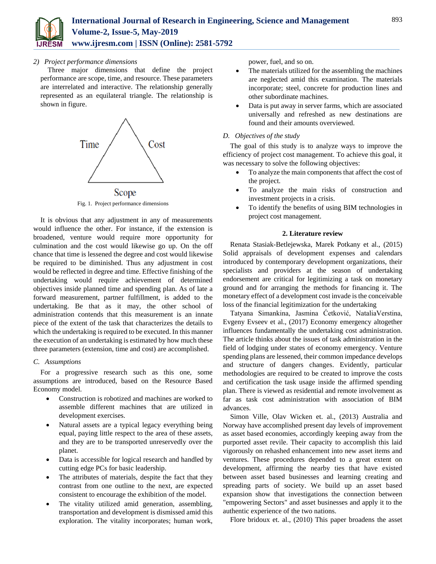

*2) Project performance dimensions*

Three major dimensions that define the project performance are scope, time, and resource. These parameters are interrelated and interactive. The relationship generally represented as an equilateral triangle. The relationship is shown in figure.



Fig. 1. Project performance dimensions

It is obvious that any adjustment in any of measurements would influence the other. For instance, if the extension is broadened, venture would require more opportunity for culmination and the cost would likewise go up. On the off chance that time is lessened the degree and cost would likewise be required to be diminished. Thus any adjustment in cost would be reflected in degree and time. Effective finishing of the undertaking would require achievement of determined objectives inside planned time and spending plan. As of late a forward measurement, partner fulfillment, is added to the undertaking. Be that as it may, the other school of administration contends that this measurement is an innate piece of the extent of the task that characterizes the details to which the undertaking is required to be executed. In this manner the execution of an undertaking is estimated by how much these three parameters (extension, time and cost) are accomplished.

# *C. Assumptions*

For a progressive research such as this one, some assumptions are introduced, based on the Resource Based Economy model.

- Construction is robotized and machines are worked to assemble different machines that are utilized in development exercises.
- Natural assets are a typical legacy everything being equal, paying little respect to the area of these assets, and they are to be transported unreservedly over the planet.
- Data is accessible for logical research and handled by cutting edge PCs for basic leadership.
- The attributes of materials, despite the fact that they contrast from one outline to the next, are expected consistent to encourage the exhibition of the model.
- The vitality utilized amid generation, assembling, transportation and development is dismissed amid this exploration. The vitality incorporates; human work,

power, fuel, and so on.

- The materials utilized for the assembling the machines are neglected amid this examination. The materials incorporate; steel, concrete for production lines and other subordinate machines.
- Data is put away in server farms, which are associated universally and refreshed as new destinations are found and their amounts overviewed.

# *D. Objectives of the study*

The goal of this study is to analyze ways to improve the efficiency of project cost management. To achieve this goal, it was necessary to solve the following objectives:

- To analyze the main components that affect the cost of the project.
- To analyze the main risks of construction and investment projects in a crisis.
- To identify the benefits of using BIM technologies in project cost management.

### **2. Literature review**

Renata Stasiak-Betlejewska, Marek Potkany et al., (2015) Solid appraisals of development expenses and calendars introduced by contemporary development organizations, their specialists and providers at the season of undertaking endorsement are critical for legitimizing a task on monetary ground and for arranging the methods for financing it. The monetary effect of a development cost invade is the conceivable loss of the financial legitimization for the undertaking

Tatyana Simankina, Jasmina Ćetković, NataliaVerstina, Evgeny Evseev et al., (2017) Economy emergency altogether influences fundamentally the undertaking cost administration. The article thinks about the issues of task administration in the field of lodging under states of economy emergency. Venture spending plans are lessened, their common impedance develops and structure of dangers changes. Evidently, particular methodologies are required to be created to improve the costs and certification the task usage inside the affirmed spending plan. There is viewed as residential and remote involvement as far as task cost administration with association of BIM advances.

Simon Ville, Olav Wicken et. al., (2013) Australia and Norway have accomplished present day levels of improvement as asset based economies, accordingly keeping away from the purported asset revile. Their capacity to accomplish this laid vigorously on rehashed enhancement into new asset items and ventures. These procedures depended to a great extent on development, affirming the nearby ties that have existed between asset based businesses and learning creating and spreading parts of society. We build up an asset based expansion show that investigations the connection between "empowering Sectors" and asset businesses and apply it to the authentic experience of the two nations.

Flore bridoux et. al., (2010) This paper broadens the asset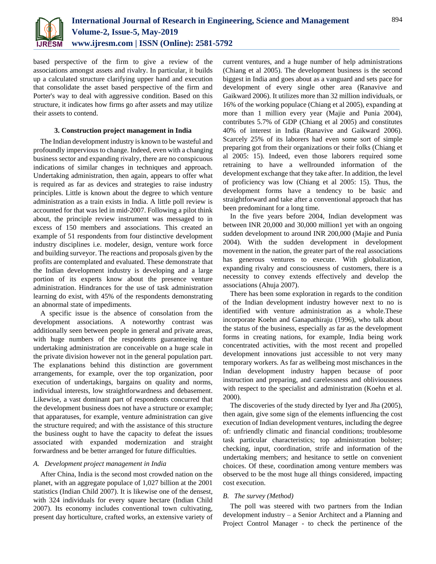

based perspective of the firm to give a review of the associations amongst assets and rivalry. In particular, it builds up a calculated structure clarifying upper hand and execution that consolidate the asset based perspective of the firm and Porter's way to deal with aggressive condition. Based on this structure, it indicates how firms go after assets and may utilize their assets to contend.

### **3. Construction project management in India**

The Indian development industry is known to be wasteful and profoundly impervious to change. Indeed, even with a changing business sector and expanding rivalry, there are no conspicuous indications of similar changes in techniques and approach. Undertaking administration, then again, appears to offer what is required as far as devices and strategies to raise industry principles. Little is known about the degree to which venture administration as a train exists in India. A little poll review is accounted for that was led in mid-2007. Following a pilot think about, the principle review instrument was messaged to in excess of 150 members and associations. This created an example of 51 respondents from four distinctive development industry disciplines i.e. modeler, design, venture work force and building surveyor. The reactions and proposals given by the profits are contemplated and evaluated. These demonstrate that the Indian development industry is developing and a large portion of its experts know about the presence venture administration. Hindrances for the use of task administration learning do exist, with 45% of the respondents demonstrating an abnormal state of impediments.

A specific issue is the absence of consolation from the development associations. A noteworthy contrast was additionally seen between people in general and private areas, with huge numbers of the respondents guaranteeing that undertaking administration are conceivable on a huge scale in the private division however not in the general population part. The explanations behind this distinction are government arrangements, for example, over the top organization, poor execution of undertakings, bargains on quality and norms, individual interests, low straightforwardness and debasement. Likewise, a vast dominant part of respondents concurred that the development business does not have a structure or example; that apparatuses, for example, venture administration can give the structure required; and with the assistance of this structure the business ought to have the capacity to defeat the issues associated with expanded modernization and straight forwardness and be better arranged for future difficulties.

# *A. Development project management in India*

After China, India is the second most crowded nation on the planet, with an aggregate populace of 1,027 billion at the 2001 statistics (Indian Child 2007). It is likewise one of the densest, with 324 individuals for every square hectare (Indian Child 2007). Its economy includes conventional town cultivating, present day horticulture, crafted works, an extensive variety of current ventures, and a huge number of help administrations (Chiang et al 2005). The development business is the second biggest in India and goes about as a vanguard and sets pace for development of every single other area (Ranavive and Gaikward 2006). It utilizes more than 32 million individuals, or 16% of the working populace (Chiang et al 2005), expanding at more than 1 million every year (Majie and Punia 2004), contributes 5.7% of GDP (Chiang et al 2005) and constitutes 40% of interest in India (Ranavive and Gaikward 2006). Scarcely 25% of its laborers had even some sort of simple preparing got from their organizations or their folks (Chiang et al 2005: 15). Indeed, even those laborers required some retraining to have a wellrounded information of the development exchange that they take after. In addition, the level of proficiency was low (Chiang et al 2005: 15). Thus, the development forms have a tendency to be basic and straightforward and take after a conventional approach that has been predominant for a long time.

In the five years before 2004, Indian development was between INR 20,000 and 30,000 million1 yet with an ongoing sudden development to around INR 200,000 (Majie and Punia 2004). With the sudden development in development movement in the nation, the greater part of the real associations has generous ventures to execute. With globalization, expanding rivalry and consciousness of customers, there is a necessity to convey extends effectively and develop the associations (Ahuja 2007).

There has been some exploration in regards to the condition of the Indian development industry however next to no is identified with venture administration as a whole.These incorporate Koehn and Ganapathiraju (1996), who talk about the status of the business, especially as far as the development forms in creating nations, for example, India being work concentrated activities, with the most recent and propelled development innovations just accessible to not very many temporary workers. As far as wellbeing most mischances in the Indian development industry happen because of poor instruction and preparing, and carelessness and obliviousness with respect to the specialist and administration (Koehn et al. 2000).

The discoveries of the study directed by Iyer and Jha (2005), then again, give some sign of the elements influencing the cost execution of Indian development ventures, including the degree of: unfriendly climatic and financial conditions; troublesome task particular characteristics; top administration bolster; checking, input, coordination, strife and information of the undertaking members; and hesitance to settle on convenient choices. Of these, coordination among venture members was observed to be the most huge all things considered, impacting cost execution.

# *B. The survey (Method)*

The poll was steered with two partners from the Indian development industry – a Senior Architect and a Planning and Project Control Manager - to check the pertinence of the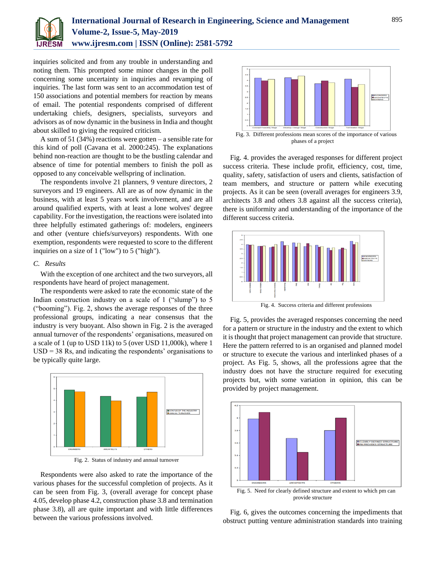

# **International Journal of Research in Engineering, Science and Management Volume-2, Issue-5, May-2019 www.ijresm.com | ISSN (Online): 2581-5792**

inquiries solicited and from any trouble in understanding and noting them. This prompted some minor changes in the poll concerning some uncertainty in inquiries and revamping of inquiries. The last form was sent to an accommodation test of 150 associations and potential members for reaction by means of email. The potential respondents comprised of different undertaking chiefs, designers, specialists, surveyors and advisors as of now dynamic in the business in India and thought about skilled to giving the required criticism.

A sum of 51 (34%) reactions were gotten – a sensible rate for this kind of poll (Cavana et al. 2000:245). The explanations behind non-reaction are thought to be the bustling calendar and absence of time for potential members to finish the poll as opposed to any conceivable wellspring of inclination.

The respondents involve 21 planners, 9 venture directors, 2 surveyors and 19 engineers. All are as of now dynamic in the business, with at least 5 years work involvement, and are all around qualified experts, with at least a lone wolves' degree capability. For the investigation, the reactions were isolated into three helpfully estimated gatherings of: modelers, engineers and other (venture chiefs/surveyors) respondents. With one exemption, respondents were requested to score to the different inquiries on a size of 1 ("low") to 5 ("high").

#### *C. Results*

With the exception of one architect and the two surveyors, all respondents have heard of project management.

The respondents were asked to rate the economic state of the Indian construction industry on a scale of 1 ("slump") to 5 ("booming"). Fig. 2, shows the average responses of the three professional groups, indicating a near consensus that the industry is very buoyant. Also shown in Fig. 2 is the averaged annual turnover of the respondents' organisations, measured on a scale of 1 (up to USD 11k) to 5 (over USD 11,000k), where 1  $USD = 38$  Rs, and indicating the respondents' organisations to be typically quite large.



Fig. 2. Status of industry and annual turnover

Respondents were also asked to rate the importance of the various phases for the successful completion of projects. As it can be seen from Fig. 3, (overall average for concept phase 4.05, develop phase 4.2, construction phase 3.8 and termination phase 3.8), all are quite important and with little differences between the various professions involved.



phases of a project

Fig. 4. provides the averaged responses for different project success criteria. These include profit, efficiency, cost, time, quality, safety, satisfaction of users and clients, satisfaction of team members, and structure or pattern while executing projects. As it can be seen (overall averages for engineers 3.9, architects 3.8 and others 3.8 against all the success criteria), there is uniformity and understanding of the importance of the different success criteria.



Fig. 4. Success criteria and different professions

Fig. 5, provides the averaged responses concerning the need for a pattern or structure in the industry and the extent to which it is thought that project management can provide that structure. Here the pattern referred to is an organised and planned model or structure to execute the various and interlinked phases of a project. As Fig. 5, shows, all the professions agree that the industry does not have the structure required for executing projects but, with some variation in opinion, this can be provided by project management.



Fig. 6, gives the outcomes concerning the impediments that obstruct putting venture administration standards into training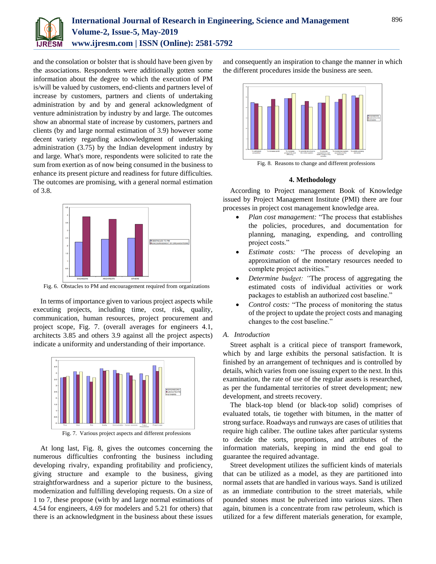

and the consolation or bolster that is should have been given by the associations. Respondents were additionally gotten some information about the degree to which the execution of PM is/will be valued by customers, end-clients and partners level of increase by customers, partners and clients of undertaking administration by and by and general acknowledgment of venture administration by industry by and large. The outcomes show an abnormal state of increase by customers, partners and clients (by and large normal estimation of 3.9) however some decent variety regarding acknowledgment of undertaking administration (3.75) by the Indian development industry by and large. What's more, respondents were solicited to rate the sum from exertion as of now being consumed in the business to enhance its present picture and readiness for future difficulties. The outcomes are promising, with a general normal estimation of 3.8.



Fig. 6. Obstacles to PM and encouragement required from organizations

In terms of importance given to various project aspects while executing projects, including time, cost, risk, quality, communication, human resources, project procurement and project scope, Fig. 7. (overall averages for engineers 4.1, architects 3.85 and others 3.9 against all the project aspects) indicate a uniformity and understanding of their importance.



Fig. 7. Various project aspects and different professions

At long last, Fig. 8, gives the outcomes concerning the numerous difficulties confronting the business including developing rivalry, expanding profitability and proficiency, giving structure and example to the business, giving straightforwardness and a superior picture to the business, modernization and fulfilling developing requests. On a size of 1 to 7, these propose (with by and large normal estimations of 4.54 for engineers, 4.69 for modelers and 5.21 for others) that there is an acknowledgment in the business about these issues

and consequently an inspiration to change the manner in which the different procedures inside the business are seen.



Fig. 8. Reasons to change and different professions

### **4. Methodology**

According to Project management Book of Knowledge issued by Project Management Institute (PMI) there are four processes in project cost management knowledge area.

- *Plan cost management:* "The process that establishes the policies, procedures, and documentation for planning, managing, expending, and controlling project costs."
- *Estimate costs:* "The process of developing an approximation of the monetary resources needed to complete project activities."
- *Determine budget: "*The process of aggregating the estimated costs of individual activities or work packages to establish an authorized cost baseline."
- *Control costs:* "The process of monitoring the status of the project to update the project costs and managing changes to the cost baseline."

# *A. Introduction*

Street asphalt is a critical piece of transport framework, which by and large exhibits the personal satisfaction. It is finished by an arrangement of techniques and is controlled by details, which varies from one issuing expert to the next. In this examination, the rate of use of the regular assets is researched, as per the fundamental territories of street development; new development, and streets recovery.

The black-top blend (or black-top solid) comprises of evaluated totals, tie together with bitumen, in the matter of strong surface. Roadways and runways are cases of utilities that require high caliber. The outline takes after particular systems to decide the sorts, proportions, and attributes of the information materials, keeping in mind the end goal to guarantee the required advantage.

Street development utilizes the sufficient kinds of materials that can be utilized as a model, as they are partitioned into normal assets that are handled in various ways. Sand is utilized as an immediate contribution to the street materials, while pounded stones must be pulverized into various sizes. Then again, bitumen is a concentrate from raw petroleum, which is utilized for a few different materials generation, for example,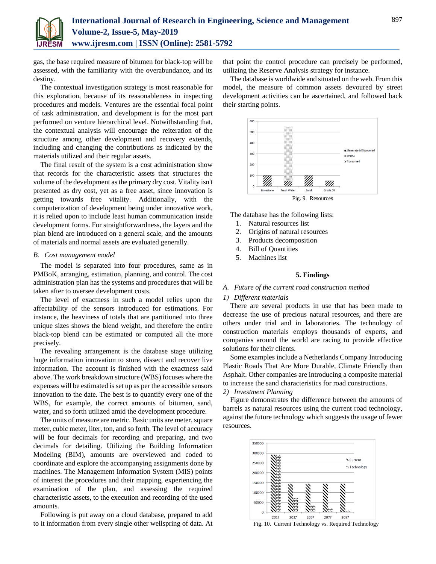

gas, the base required measure of bitumen for black-top will be assessed, with the familiarity with the overabundance, and its destiny.

The contextual investigation strategy is most reasonable for this exploration, because of its reasonableness in inspecting procedures and models. Ventures are the essential focal point of task administration, and development is for the most part performed on venture hierarchical level. Notwithstanding that, the contextual analysis will encourage the reiteration of the structure among other development and recovery extends, including and changing the contributions as indicated by the materials utilized and their regular assets.

The final result of the system is a cost administration show that records for the characteristic assets that structures the volume of the development as the primary dry cost. Vitality isn't presented as dry cost, yet as a free asset, since innovation is getting towards free vitality. Additionally, with the computerization of development being under innovative work, it is relied upon to include least human communication inside development forms. For straightforwardness, the layers and the plan blend are introduced on a general scale, and the amounts of materials and normal assets are evaluated generally.

#### *B. Cost management model*

The model is separated into four procedures, same as in PMBoK, arranging, estimation, planning, and control. The cost administration plan has the systems and procedures that will be taken after to oversee development costs.

The level of exactness in such a model relies upon the affectability of the sensors introduced for estimations. For instance, the heaviness of totals that are partitioned into three unique sizes shows the blend weight, and therefore the entire black-top blend can be estimated or computed all the more precisely.

The revealing arrangement is the database stage utilizing huge information innovation to store, dissect and recover live information. The account is finished with the exactness said above. The work breakdown structure (WBS) focuses where the expenses will be estimated is set up as per the accessible sensors innovation to the date. The best is to quantify every one of the WBS, for example, the correct amounts of bitumen, sand, water, and so forth utilized amid the development procedure.

The units of measure are metric. Basic units are meter, square meter, cubic meter, liter, ton, and so forth. The level of accuracy will be four decimals for recording and preparing, and two decimals for detailing. Utilizing the Building Information Modeling (BIM), amounts are overviewed and coded to coordinate and explore the accompanying assignments done by machines. The Management Information System (MIS) points of interest the procedures and their mapping, experiencing the examination of the plan, and assessing the required characteristic assets, to the execution and recording of the used amounts.

Following is put away on a cloud database, prepared to add to it information from every single other wellspring of data. At that point the control procedure can precisely be performed, utilizing the Reserve Analysis strategy for instance.

The database is worldwide and situated on the web. From this model, the measure of common assets devoured by street development activities can be ascertained, and followed back their starting points.



The database has the following lists:

- 1. Natural resources list
- 2. Origins of natural resources
- 3. Products decomposition
- 4. Bill of Quantities
- 5. Machines list

# **5. Findings**

### *A. Future of the current road construction method*

#### *1) Different materials*

There are several products in use that has been made to decrease the use of precious natural resources, and there are others under trial and in laboratories. The technology of construction materials employs thousands of experts, and companies around the world are racing to provide effective solutions for their clients.

Some examples include a Netherlands Company Introducing Plastic Roads That Are More Durable, Climate Friendly than Asphalt. Other companies are introducing a composite material to increase the sand characteristics for road constructions.

# *2) Investment Planning*

Figure demonstrates the difference between the amounts of barrels as natural resources using the current road technology, against the future technology which suggests the usage of fewer resources.



Fig. 10. Current Technology vs. Required Technology